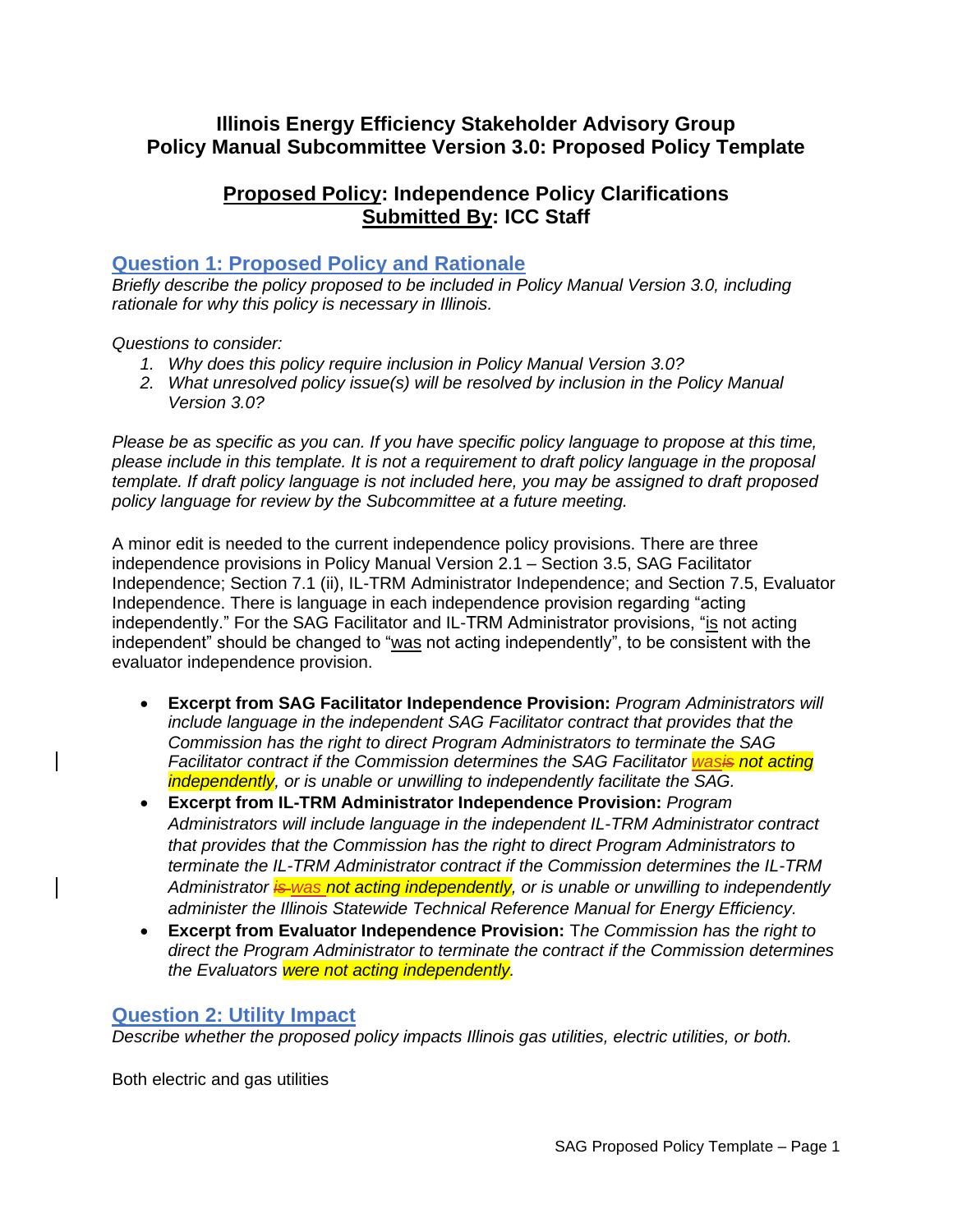### **Illinois Energy Efficiency Stakeholder Advisory Group Policy Manual Subcommittee Version 3.0: Proposed Policy Template**

## **Proposed Policy: Independence Policy Clarifications Submitted By: ICC Staff**

#### **Question 1: Proposed Policy and Rationale**

*Briefly describe the policy proposed to be included in Policy Manual Version 3.0, including rationale for why this policy is necessary in Illinois.* 

*Questions to consider:* 

- *1. Why does this policy require inclusion in Policy Manual Version 3.0?*
- *2. What unresolved policy issue(s) will be resolved by inclusion in the Policy Manual Version 3.0?*

*Please be as specific as you can. If you have specific policy language to propose at this time, please include in this template. It is not a requirement to draft policy language in the proposal template. If draft policy language is not included here, you may be assigned to draft proposed policy language for review by the Subcommittee at a future meeting.*

A minor edit is needed to the current independence policy provisions. There are three independence provisions in Policy Manual Version 2.1 – Section 3.5, SAG Facilitator Independence; Section 7.1 (ii), IL-TRM Administrator Independence; and Section 7.5, Evaluator Independence. There is language in each independence provision regarding "acting independently." For the SAG Facilitator and IL-TRM Administrator provisions, "is not acting independent" should be changed to "was not acting independently", to be consistent with the evaluator independence provision.

- **Excerpt from SAG Facilitator Independence Provision:** *Program Administrators will include language in the independent SAG Facilitator contract that provides that the Commission has the right to direct Program Administrators to terminate the SAG Facilitator contract if the Commission determines the SAG Facilitator wasis not acting independently, or is unable or unwilling to independently facilitate the SAG.*
- **Excerpt from IL-TRM Administrator Independence Provision:** *Program Administrators will include language in the independent IL-TRM Administrator contract that provides that the Commission has the right to direct Program Administrators to terminate the IL-TRM Administrator contract if the Commission determines the IL-TRM*  Administrator **is was not acting independently**, or is unable or unwilling to independently *administer the Illinois Statewide Technical Reference Manual for Energy Efficiency.*
- **Excerpt from Evaluator Independence Provision:** T*he Commission has the right to direct the Program Administrator to terminate the contract if the Commission determines the Evaluators were not acting independently.*

# **Question 2: Utility Impact**

*Describe whether the proposed policy impacts Illinois gas utilities, electric utilities, or both.* 

Both electric and gas utilities